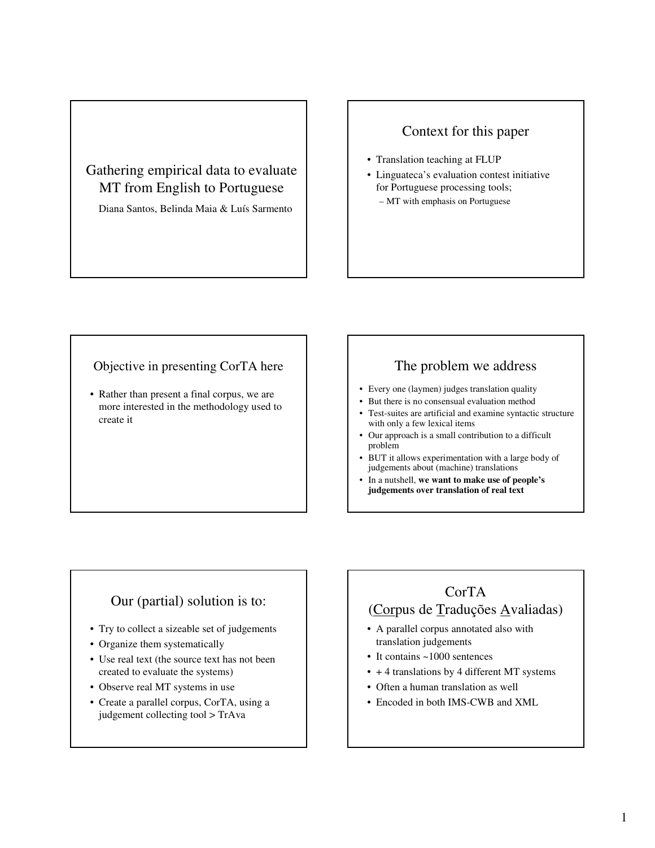# Gathering empirical data to evaluate MT from English to Portuguese

Diana Santos, Belinda Maia & Luís Sarmento

## Context for this paper

- Translation teaching at FLUP
- Linguateca's evaluation contest initiative for Portuguese processing tools; – MT with emphasis on Portuguese

### Objective in presenting CorTA here

• Rather than present a final corpus, we are more interested in the methodology used to create it

#### The problem we address

- Every one (laymen) judges translation quality
- But there is no consensual evaluation method
- Test-suites are artificial and examine syntactic structure with only a few lexical items
- Our approach is a small contribution to a difficult problem
- BUT it allows experimentation with a large body of judgements about (machine) translations
- In a nutshell, **we want to make use of people's judgements over translation of real text**

## Our (partial) solution is to:

- Try to collect a sizeable set of judgements
- Organize them systematically
- Use real text (the source text has not been created to evaluate the systems)
- Observe real MT systems in use
- Create a parallel corpus, CorTA, using a judgement collecting tool > TrAva

# CorTA (Corpus de Traduções Avaliadas)

- A parallel corpus annotated also with translation judgements
- It contains ~1000 sentences
- + 4 translations by 4 different MT systems
- Often a human translation as well
- Encoded in both IMS-CWB and XML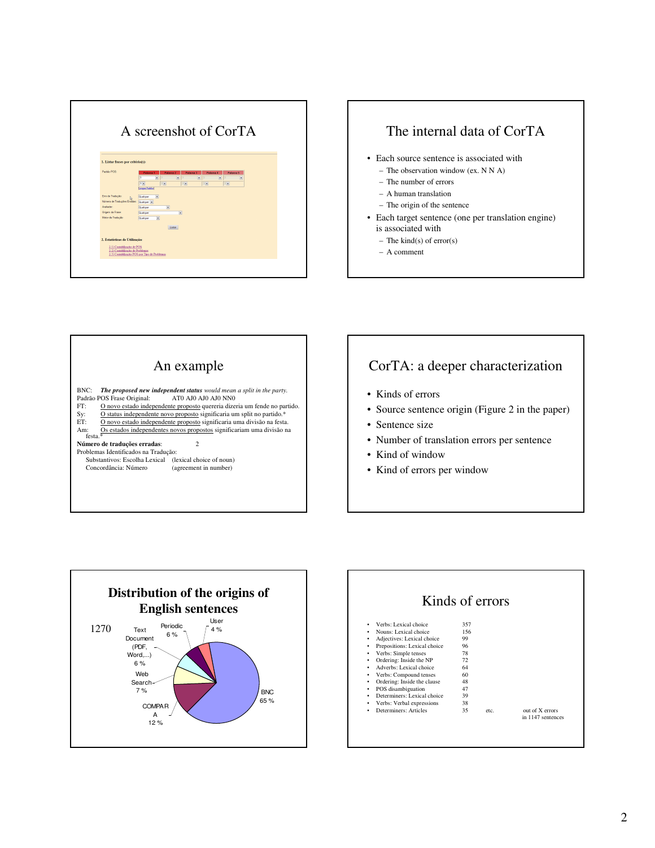| 1. Listar frases por critério(s):<br>Parklin POS<br>Palavra 2<br>Palayra 3<br>Palavra 4<br>Palayra 5<br>Palawa 1<br>$\check{}$<br>$\ddot{}$<br>$\ddot{\phantom{0}}$<br>$\blacktriangledown$<br>$\blacksquare$<br>$7 -$<br>$\overline{\phantom{a}}$<br>$\overline{ }$<br>$\bullet$<br>$\overline{\phantom{a}}$<br>Linear Paddel<br>Erro de Tradução:<br>Qualquer<br>$\bullet$<br>Número de Tradações Emétas:<br>Número de Tradações Emétas:<br>Qualquer -<br><b>Audiotor</b><br>Qualquer<br>$\bullet$<br>Origem da Frase:<br>Qualquer<br>$\overline{\phantom{a}}$<br>Metor de Tradução<br>Qualquer<br>$\bullet$<br>Listan<br>2. Estatísticas de Utilização:<br>2.1) Contabilização de POS<br>2.2) Contabilização de Problemas<br>2.3) Contablização POS por Tipo de Problemas | A screenshot of CorTA |
|------------------------------------------------------------------------------------------------------------------------------------------------------------------------------------------------------------------------------------------------------------------------------------------------------------------------------------------------------------------------------------------------------------------------------------------------------------------------------------------------------------------------------------------------------------------------------------------------------------------------------------------------------------------------------------------------------------------------------------------------------------------------------|-----------------------|
|                                                                                                                                                                                                                                                                                                                                                                                                                                                                                                                                                                                                                                                                                                                                                                              |                       |
|                                                                                                                                                                                                                                                                                                                                                                                                                                                                                                                                                                                                                                                                                                                                                                              |                       |
|                                                                                                                                                                                                                                                                                                                                                                                                                                                                                                                                                                                                                                                                                                                                                                              |                       |
|                                                                                                                                                                                                                                                                                                                                                                                                                                                                                                                                                                                                                                                                                                                                                                              |                       |
|                                                                                                                                                                                                                                                                                                                                                                                                                                                                                                                                                                                                                                                                                                                                                                              |                       |







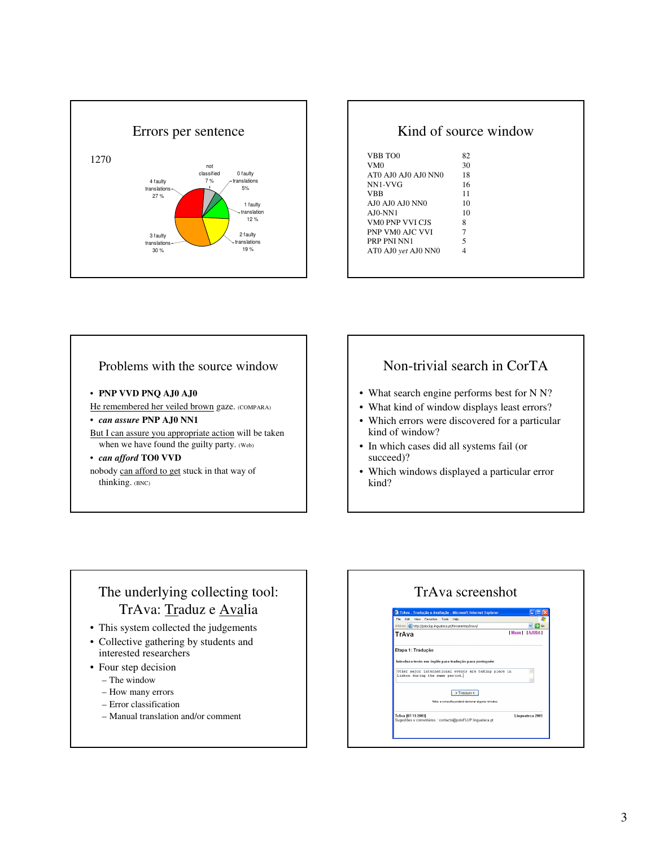

|                     | Kind of source window |
|---------------------|-----------------------|
| VBB TOO             | 82                    |
| VM0                 | 30                    |
| AT0 AJ0 AJ0 AJ0 NN0 | 18                    |
| NN1-VVG             | 16                    |
| VBB                 | 11                    |
| AI0 AI0 AI0 NN0     | 10                    |
| $A$ J $0$ -NN $1$   | 10                    |
| VM0 PNP VVI CIS     | 8                     |
| PNP VM0 AJC VVI     | 7                     |
| PRP PNI NN1         | 5                     |
| AT0 AJ0 yet AJ0 NN0 | 4                     |

#### Problems with the source window

- **PNP VVD PNQ AJ0 AJ0**
- He remembered her veiled brown gaze. (COMPARA)

#### • *can assure* **PNP AJ0 NN1**

But I can assure you appropriate action will be taken when we have found the guilty party. (Web)

#### • *can afford* **TO0 VVD**

nobody can afford to get stuck in that way of thinking. (BNC)

### Non-trivial search in CorTA

- What search engine performs best for N N?
- What kind of window displays least errors?
- Which errors were discovered for a particular kind of window?
- In which cases did all systems fail (or succeed)?
- Which windows displayed a particular error kind?

# The underlying collecting tool: TrAva: Traduz e Avalia

- This system collected the judgements
- Collective gathering by students and interested researchers
- Four step decision
	- The window
	- How many errors
	- Error classification
	- Manual translation and/or comment

#### TrAva screenshotFile Edit View Favorites  $\begin{array}{c}\n\hline\n\text{Menu} \\
\hline\n\end{array}$  [Menu] [AJUDA] dress **a http://poloclup.linguateca.pt/f** TrAva Etapa 1: Tradução Introduza texto em *inglês* para tradução para *portug*i Other major international events are taking place in<br>Lisbon during the same period.  $\rightarrow$  Traduzir < .<br>Nota: a consulta poderá demorar alguns i \_<br>TrAva (07/11/2003)<br>Sugestões e comentários : contacto@poloFLUP.linguateca.pt Linguateca 2003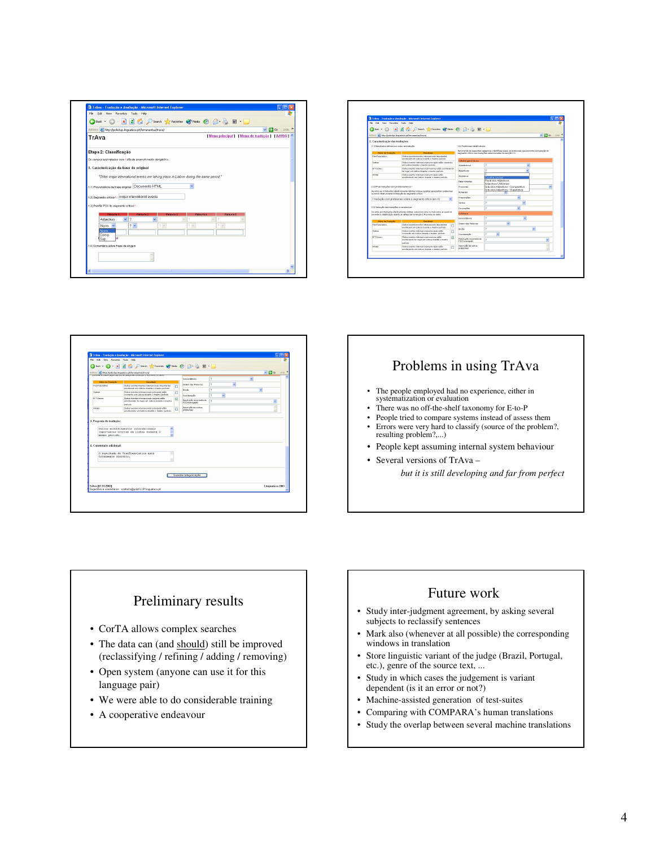

| File Edit Veve Favorites Tools Help                                                | TrAva - Traducão e Avaliação - Nicrosoft Internet Explorer                                                                                                                  |            |                                                              |                                                           |                                                                                                |                        |         |
|------------------------------------------------------------------------------------|-----------------------------------------------------------------------------------------------------------------------------------------------------------------------------|------------|--------------------------------------------------------------|-----------------------------------------------------------|------------------------------------------------------------------------------------------------|------------------------|---------|
| a Back .                                                                           | ■ 日 台 Caro 女 Facts @ Mais @ B & 图 ·■                                                                                                                                        |            |                                                              |                                                           |                                                                                                |                        |         |
|                                                                                    |                                                                                                                                                                             |            |                                                              |                                                           |                                                                                                |                        |         |
|                                                                                    | Address @ Http://polock.p.inguateca.pt/ferramentas/traval                                                                                                                   |            |                                                              |                                                           |                                                                                                | $\vee$ $\Box$ $\infty$ | Links M |
| 2. Caracterização das traduções                                                    |                                                                                                                                                                             |            |                                                              |                                                           |                                                                                                |                        |         |
| 2.1) Resultados obtidos por motor de traducilo:                                    |                                                                                                                                                                             |            | 2.41 Problemas identificativeis:                             |                                                           |                                                                                                |                        |         |
| Motor de Traducilo<br><b>Republicio</b>                                            |                                                                                                                                                                             |            | segmento grilico nas traducias peleocionadas na seccião 2.3: |                                                           | Recorrendo és seguintes celegorias, identifique quais os problemas que encontra na tradução do |                        |         |
| FreeT unstables                                                                    | Duties accordacionantes internacionais inscedantes<br>are thrown am Lisboa durante a masmo satisfic-                                                                        |            |                                                              |                                                           |                                                                                                |                        |         |
| <b>Systems</b>                                                                     | Outros eventos internacionais principais estão acemendo.                                                                                                                    |            | <b>TIMorfologia e Léviso</b>                                 |                                                           |                                                                                                |                        |         |
|                                                                                    | en Lidos duarte e memo periode.                                                                                                                                             |            | <b>Substantiana</b>                                          | $\mathbf{r}$                                              |                                                                                                |                        |         |
| <b>E-T Server</b>                                                                  | Outco eventos intersacionais maiores estás acontecendo<br>ter lugar em Lisboa durante a mesmo període.                                                                      |            | Adjectives                                                   | $\mathbf{r}$                                              |                                                                                                |                        |         |
| <b>APAN</b>                                                                        | Outsor eventer internacionals principals estão<br>acentecendo em Lisboa durante o mesmo pedodo.                                                                             |            | Advirting                                                    | Excellent moral                                           |                                                                                                |                        |         |
|                                                                                    |                                                                                                                                                                             |            | Determinanten                                                | Plural dos Adiectivos                                     |                                                                                                |                        |         |
| 2.21N*-to traduction core probleman/error *                                        |                                                                                                                                                                             |            | Properties                                                   | Adjectivos Uniformes<br>Gray dos Adiectivos - Comparativo |                                                                                                |                        |         |
| De entre sa 4 traducões efectivamente obtidas indigue guantas apresentam problemas |                                                                                                                                                                             |            | <b>Number</b>                                                | Grou dos Adiectivos - Superiotivo                         |                                                                                                |                        |         |
| ou emas relativamente à tradução do segmento crítico:                              |                                                                                                                                                                             |            |                                                              |                                                           |                                                                                                |                        |         |
|                                                                                    | 1 tradução com problemas sobre o segmento crítico (em 4).                                                                                                                   |            | Prenost riles                                                | ٠                                                         | v                                                                                              |                        |         |
|                                                                                    |                                                                                                                                                                             |            | Verhalt                                                      | ÷                                                         |                                                                                                |                        |         |
| 2.31 Selección das traducións a coracterizar                                       |                                                                                                                                                                             | Conjuncões | 3                                                            | $\ddot{}$                                                 |                                                                                                |                        |         |
|                                                                                    | De entre ac-4 traductivo etectivamente obtidas, peleocione uma ou mais sobre ac quais ità<br>conceder à classificación especto ao extensión na censão 2.4 tontona de tadoto |            | <b>ID Sindario</b>                                           |                                                           |                                                                                                |                        |         |
|                                                                                    |                                                                                                                                                                             |            | Concentingia                                                 | $\gamma$                                                  | ŵ                                                                                              |                        |         |
| Motor da Starbinão<br>Crea Transferies                                             | <b>Texa</b> diam'r.<br>Outsor acordecimental internacionals importantes                                                                                                     |            | <b>College day Dalaway</b>                                   | 3                                                         |                                                                                                |                        |         |
|                                                                                    | acesterem em Lisboa durante e mesmo aeríodo.                                                                                                                                | п          | <b>Photo</b>                                                 | ٠                                                         |                                                                                                |                        |         |
| <b>System</b>                                                                      | Dutsc eventer internationals principals estão<br>assemble are Lisbux dasards a masmo particular.                                                                            | O          | Constanzolle                                                 | $\mathbf{r}$                                              |                                                                                                |                        |         |
| <b>B.T.Server</b>                                                                  | Didnes associas internacionais maisses estão                                                                                                                                | ø          | Repolução incorrecta do                                      | ٠                                                         |                                                                                                |                        |         |
|                                                                                    | acentenenda for logar em Uphoa durante o micoma<br>antices                                                                                                                  |            | POS ha végrafa                                               |                                                           |                                                                                                |                        |         |
| Arikal                                                                             | Dutsc eventer internationals principals estão                                                                                                                               | ο          | Despricks de outros<br>problemes                             |                                                           |                                                                                                |                        |         |
|                                                                                    | assateseds on Lisba death constructions.                                                                                                                                    |            |                                                              |                                                           |                                                                                                |                        |         |
|                                                                                    |                                                                                                                                                                             |            |                                                              |                                                           |                                                                                                |                        |         |

| G Back +                 | File Edit View Favorites Tools Help<br>O X 2 1 C Dienth of Favorites @ Predia @ B . B E .                                                     |   |                                         |        |    |   |              |
|--------------------------|-----------------------------------------------------------------------------------------------------------------------------------------------|---|-----------------------------------------|--------|----|---|--------------|
|                          | Address (a) http://polock.p.ingusteca.pt/ferramentas/traval<br>provided a community of states at campoint three persons of contract an inter- |   |                                         |        |    |   | v D Go Links |
|                          |                                                                                                                                               |   | Concordincia                            | ö      |    | × |              |
| Motor de Traducão        | <b>Beautists</b>                                                                                                                              |   | Orden das Palavras                      | 7      | ×. |   |              |
| Free Translation         | Outros accelecimentos internacionais importantes<br>acestocem em Lisbaa durante o mesmo periode.                                              | Ξ |                                         |        |    |   |              |
| <b>Sydney</b>            | Outlos weeths intervacionals exercisais educ-                                                                                                 | п | <b>Risks</b>                            | ġ.     |    | × |              |
| C-T-Salval               | convents em Lisboa datarde e masmo período.<br>Outsor weethe internacionals mainter estão                                                     |   | Coordenscillo                           | ö<br>× |    |   |              |
|                          | acestocendo ter legas em Unhau durante o mesmo<br>narista.                                                                                    | ø | Resolução incorrecta do<br>POShomógrafo | o.     |    |   |              |
| Amikal                   | Outco eventor intervacionals admissionable<br>acestecendo em Lisboa durante a mesmo período.                                                  | Ω | Descriptio de outros<br>problemas       |        |    |   |              |
| 4. Comentário adicional: |                                                                                                                                               |   |                                         |        |    |   |              |
| totalmente correcto.     | O resultado do FreeTranslation está<br>×                                                                                                      |   |                                         |        |    |   |              |
|                          |                                                                                                                                               |   | Guardar categorização                   |        |    |   |              |

### Problems in using TrAva

- The people employed had no experience, either in systematization or evaluation
- There was no off-the-shelf taxonomy for E-to-P
- People tried to compare systems instead of assess them Errors were very hard to classify (source of the problem?, resulting problem?,...)
- People kept assuming internal system behaviour
- Several versions of TrAva *but it is still developing and far from perfect*

# Preliminary results

- CorTA allows complex searches
- The data can (and should) still be improved (reclassifying / refining / adding / removing)
- Open system (anyone can use it for this language pair)
- We were able to do considerable training
- A cooperative endeavour

#### Future work

- Study inter-judgment agreement, by asking several subjects to reclassify sentences
- Mark also (whenever at all possible) the corresponding windows in translation
- Store linguistic variant of the judge (Brazil, Portugal, etc.), genre of the source text, ...
- Study in which cases the judgement is variant dependent (is it an error or not?)
- Machine-assisted generation of test-suites
- Comparing with COMPARA's human translations
- Study the overlap between several machine translations